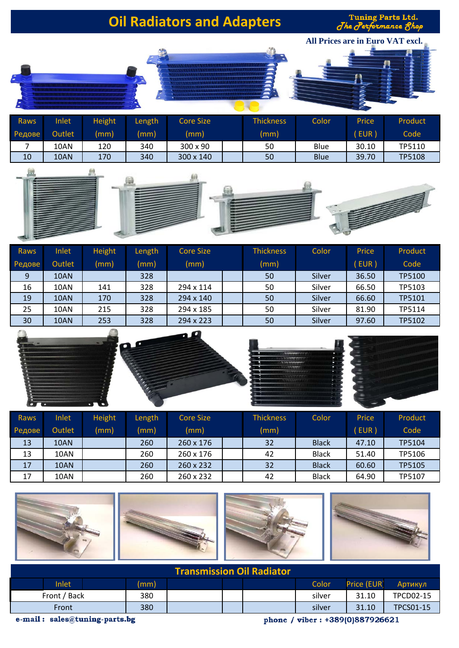Tuning Parts Ltd.<br>The Performance Shop



| <b>Raws</b> | Inlet  | Height | Length | Core Size | <b>Thickness</b> | Color       | <b>Price</b> | Product       |
|-------------|--------|--------|--------|-----------|------------------|-------------|--------------|---------------|
| Редове      | Outlet | (mm)   | (mm)   | (mm)      | (mm)             |             | EUR)         | Code          |
|             | 10AN   | 120    | 340    | 300 x 90  | 50               | Blue        | 30.10        | TP5110        |
| 10          | 10AN   | 170    | 340    | 300 x 140 | 50               | <b>Blue</b> | 39.70        | <b>TP5108</b> |



| Raws   | Inlet  | <b>Height</b> | Length | <b>Core Size</b> | <b>Thickness</b> | Color  | Price | Product       |
|--------|--------|---------------|--------|------------------|------------------|--------|-------|---------------|
| Редове | Outlet | (mm)          | (mm)   | (mm)             | (mm)             |        | EUR ) | Code          |
| 9      | 10AN   |               | 328    |                  | 50               | Silver | 36.50 | <b>TP5100</b> |
| 16     | 10AN   | 141           | 328    | 294 x 114        | 50               | Silver | 66.50 | TP5103        |
| 19     | 10AN   | 170           | 328    | 294 x 140        | 50               | Silver | 66.60 | TP5101        |
| 25     | 10AN   | 215           | 328    | 294 x 185        | 50               | Silver | 81.90 | TP5114        |
| 30     | 10AN   | 253           | 328    | 294 x 223        | 50               | Silver | 97.60 | TP5102        |



| Raws   | Inlet  | <b>Height</b> | Length | Core Size        | <b>Thickness</b> | Color        | Price | Product |
|--------|--------|---------------|--------|------------------|------------------|--------------|-------|---------|
| Редове | Outlet | (mm)          | (mm)   | (mm)             | (mm)             |              | EUR)  | Code    |
| 13     | 10AN   |               | 260    | $260 \times 176$ | 32               | <b>Black</b> | 47.10 | TP5104  |
| 13     | 10AN   |               | 260    | $260 \times 176$ | 42               | <b>Black</b> | 51.40 | TP5106  |
| 17     | 10AN   |               | 260    | 260 x 232        | 32               | <b>Black</b> | 60.60 | TP5105  |
| 17     | 10AN   |               | 260    | 260 x 232        | 42               | <b>Black</b> | 64.90 | TP5107  |



| <b>Transmission Oil Radiator</b> |       |     |      |  |  |        |                                   |                  |                  |
|----------------------------------|-------|-----|------|--|--|--------|-----------------------------------|------------------|------------------|
|                                  | Inlet |     | (mm) |  |  |        | Color                             | Price (EUR)      | Артикул          |
| Front / Back                     |       | 380 |      |  |  | silver | 31.10                             | <b>TPCD02-15</b> |                  |
| Front                            |       |     | 380  |  |  |        | silver                            | 31.10            | <b>TPCS01-15</b> |
| a mail : asles@tuning nexts hg   |       |     |      |  |  |        | $1 - 1 - 1 - 1 - 100000007006601$ |                  |                  |

e-mail: sales@tuning-parts.bg

phone / viber: +389(0)887926621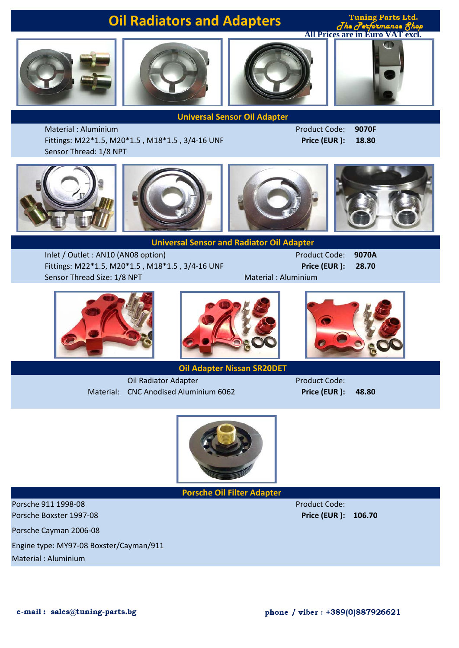



Tuning Parts Ltd.  $d^h$ **All Prices are in Euro VAT excl.**



**Universal Sensor Oil Adapter**

Material : Aluminium Product Code: **9070F** Fittings: M22\*1.5, M20\*1.5 , M18\*1.5 , 3/4-16 UNF **Price (EUR ): 18.80**

Sensor Thread: 1/8 NPT



**Universal Sensor and Radiator Oil Adapter**

Inlet / Outlet : AN10 (AN08 option) **Product Code: 9070A** Fittings: M22\*1.5, M20\*1.5 , M18\*1.5 , 3/4-16 UNF **Price (EUR ): 28.70** Sensor Thread Size: 1/8 NPT Material : Aluminium







**Oil Adapter Nissan SR20DET**

Oil Radiator Adapter **Product Code:** Material: CNC Anodised Aluminium 6062 **Price (EUR ): 48.80**



**Porsche Oil Filter Adapter** 

Porsche 911 1998-08 Product Code: Porsche Boxster 1997-08 **Price (EUR ): 106.70**

Porsche Cayman 2006-08

Engine type: MY97-08 Boxster/Cayman/911

Material : Aluminium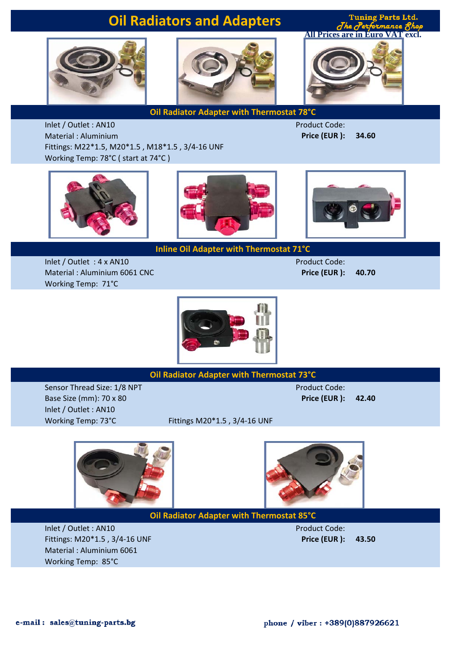**Tuning Parts Ltd.**  $J$ he  $J$ e **All Prices are in Euro VAT excl.**





**Oil Radiator Adapter with Thermostat 78°C**

Inlet / Outlet : AN10 Product Code: Material : Aluminium **Price (EUR ): 34.60** Fittings: M22\*1.5, M20\*1.5 , M18\*1.5 , 3/4-16 UNF Working Temp: 78°C ( start at 74°C )





**Inline Oil Adapter with Thermostat 71°C**



Inlet / Outlet : 4 x AN10 Product Code: Material : Aluminium 6061 CNC **Price (EUR ): 40.70** Working Temp: 71°C



**Oil Radiator Adapter with Thermostat 73°C**

Sensor Thread Size: 1/8 NPT Product Code: Base Size (mm): 70 х 80 **Price (EUR ): 42.40** Inlet / Outlet : AN10

Working Temp: 73°C Fittings M20\*1.5, 3/4-16 UNF





**Oil Radiator Adapter with Thermostat 85°C**

Inlet / Outlet : AN10 Product Code: Fittings: M20\*1.5 , 3/4-16 UNF **Price (EUR ): 43.50** Material : Aluminium 6061 Working Temp: 85°C